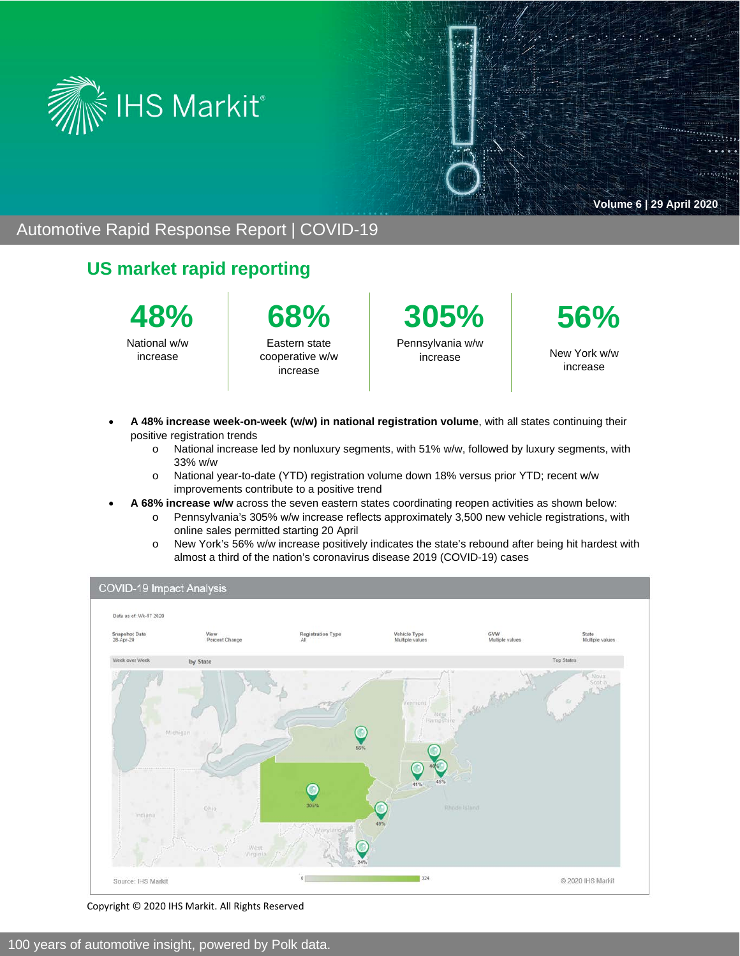

 $\cdots$ 

#### Automotive Rapid Response Report | COVID-19

### **US market rapid reporting**



National w/w increase



Eastern state cooperative w/w increase

**305%** Pennsylvania w/w increase



New York w/w increase

- **A 48% increase week-on-week (w/w) in national registration volume**, with all states continuing their positive registration trends
	- $\circ$  National increase led by nonluxury segments, with 51% w/w, followed by luxury segments, with 33% w/w
	- o National year-to-date (YTD) registration volume down 18% versus prior YTD; recent w/w improvements contribute to a positive trend
- **A 68% increase w/w** across the seven eastern states coordinating reopen activities as shown below:
	- o Pennsylvania's 305% w/w increase reflects approximately 3,500 new vehicle registrations, with online sales permitted starting 20 April
	- o New York's 56% w/w increase positively indicates the state's rebound after being hit hardest with almost a third of the nation's coronavirus disease 2019 (COVID-19) cases



Copyright © 2020 IHS Markit. All Rights Reserved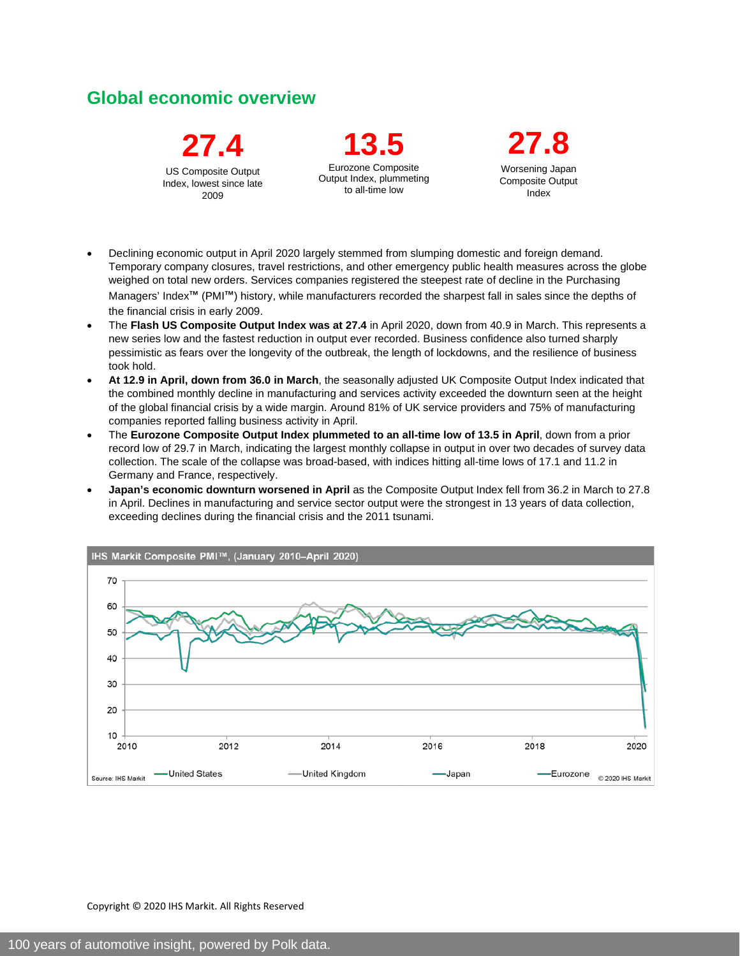## **Global economic overview**

**27.4** US Composite Output Index, lowest since late 2009

**13.5** Eurozone Composite Output Index, plummeting to all-time low

**27.8**  Worsening Japan Composite Output Index

- Declining economic output in April 2020 largely stemmed from slumping domestic and foreign demand. Temporary company closures, travel restrictions, and other emergency public health measures across the globe weighed on total new orders. Services companies registered the steepest rate of decline in the Purchasing Managers' Index™ (PMI™) history, while manufacturers recorded the sharpest fall in sales since the depths of the financial crisis in early 2009.
- The **Flash US Composite Output Index was at 27.4** in April 2020, down from 40.9 in March. This represents a new series low and the fastest reduction in output ever recorded. Business confidence also turned sharply pessimistic as fears over the longevity of the outbreak, the length of lockdowns, and the resilience of business took hold.
- **At 12.9 in April, down from 36.0 in March**, the seasonally adjusted UK Composite Output Index indicated that the combined monthly decline in manufacturing and services activity exceeded the downturn seen at the height of the global financial crisis by a wide margin. Around 81% of UK service providers and 75% of manufacturing companies reported falling business activity in April.
- The **Eurozone Composite Output Index plummeted to an all-time low of 13.5 in April**, down from a prior record low of 29.7 in March, indicating the largest monthly collapse in output in over two decades of survey data collection. The scale of the collapse was broad-based, with indices hitting all-time lows of 17.1 and 11.2 in Germany and France, respectively.
- **Japan's economic downturn worsened in April** as the Composite Output Index fell from 36.2 in March to 27.8 in April. Declines in manufacturing and service sector output were the strongest in 13 years of data collection, exceeding declines during the financial crisis and the 2011 tsunami.



Copyright © 2020 IHS Markit. All Rights Reserved